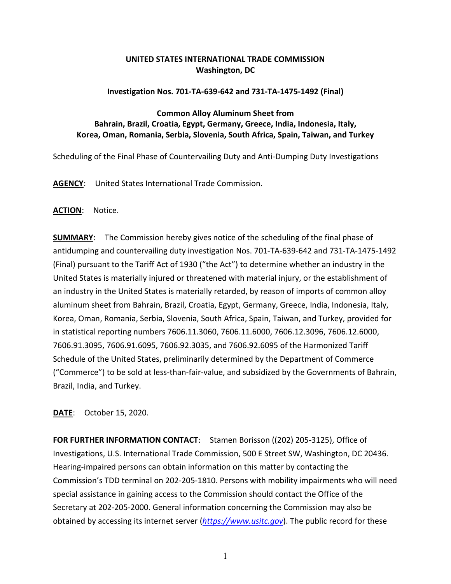# **UNITED STATES INTERNATIONAL TRADE COMMISSION Washington, DC**

#### **Investigation Nos. 701-TA-639-642 and 731-TA-1475-1492 (Final)**

# **Common Alloy Aluminum Sheet from Bahrain, Brazil, Croatia, Egypt, Germany, Greece, India, Indonesia, Italy, Korea, Oman, Romania, Serbia, Slovenia, South Africa, Spain, Taiwan, and Turkey**

Scheduling of the Final Phase of Countervailing Duty and Anti-Dumping Duty Investigations

**AGENCY**: United States International Trade Commission.

### **ACTION**: Notice.

**SUMMARY**: The Commission hereby gives notice of the scheduling of the final phase of antidumping and countervailing duty investigation Nos. 701-TA-639-642 and 731-TA-1475-1492 (Final) pursuant to the Tariff Act of 1930 ("the Act") to determine whether an industry in the United States is materially injured or threatened with material injury, or the establishment of an industry in the United States is materially retarded, by reason of imports of common alloy aluminum sheet from Bahrain, Brazil, Croatia, Egypt, Germany, Greece, India, Indonesia, Italy, Korea, Oman, Romania, Serbia, Slovenia, South Africa, Spain, Taiwan, and Turkey, provided for in statistical reporting numbers 7606.11.3060, 7606.11.6000, 7606.12.3096, 7606.12.6000, 7606.91.3095, 7606.91.6095, 7606.92.3035, and 7606.92.6095 of the Harmonized Tariff Schedule of the United States, preliminarily determined by the Department of Commerce ("Commerce") to be sold at less-than-fair-value, and subsidized by the Governments of Bahrain, Brazil, India, and Turkey.

### **DATE**: October 15, 2020.

**FOR FURTHER INFORMATION CONTACT**: Stamen Borisson ((202) 205-3125), Office of Investigations, U.S. International Trade Commission, 500 E Street SW, Washington, DC 20436. Hearing-impaired persons can obtain information on this matter by contacting the Commission's TDD terminal on 202-205-1810. Persons with mobility impairments who will need special assistance in gaining access to the Commission should contact the Office of the Secretary at 202-205-2000. General information concerning the Commission may also be obtained by accessing its internet server (*[https://www.usitc.gov](https://www.usitc.gov/)*). The public record for these

1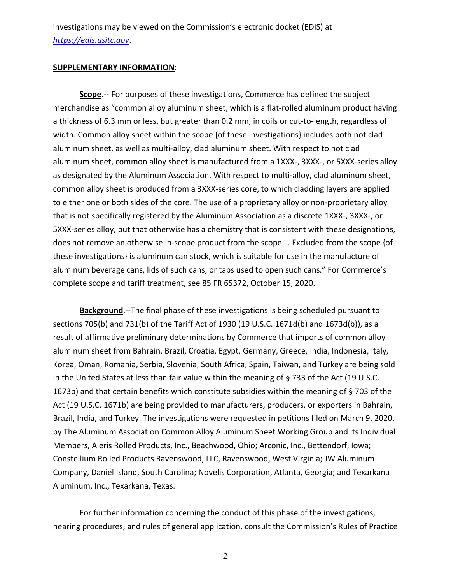investigations may be viewed on the Commission's electronic docket (EDIS) at *[https://edis.usitc.gov](https://edis.usitc.gov/)*.

### **SUPPLEMENTARY INFORMATION**:

**Scope**.-- For purposes of these investigations, Commerce has defined the subject merchandise as "common alloy aluminum sheet, which is a flat-rolled aluminum product having a thickness of 6.3 mm or less, but greater than 0.2 mm, in coils or cut-to-length, regardless of width. Common alloy sheet within the scope {of these investigations} includes both not clad aluminum sheet, as well as multi-alloy, clad aluminum sheet. With respect to not clad aluminum sheet, common alloy sheet is manufactured from a 1XXX-, 3XXX-, or 5XXX-series alloy as designated by the Aluminum Association. With respect to multi-alloy, clad aluminum sheet, common alloy sheet is produced from a 3XXX-series core, to which cladding layers are applied to either one or both sides of the core. The use of a proprietary alloy or non-proprietary alloy that is not specifically registered by the Aluminum Association as a discrete 1XXX-, 3XXX-, or 5XXX-series alloy, but that otherwise has a chemistry that is consistent with these designations, does not remove an otherwise in-scope product from the scope … Excluded from the scope {of these investigations} is aluminum can stock, which is suitable for use in the manufacture of aluminum beverage cans, lids of such cans, or tabs used to open such cans." For Commerce's complete scope and tariff treatment, see 85 FR 65372, October 15, 2020.

**Background**.--The final phase of these investigations is being scheduled pursuant to sections 705(b) and 731(b) of the Tariff Act of 1930 (19 U.S.C. 1671d(b) and 1673d(b)), as a result of affirmative preliminary determinations by Commerce that imports of common alloy aluminum sheet from Bahrain, Brazil, Croatia, Egypt, Germany, Greece, India, Indonesia, Italy, Korea, Oman, Romania, Serbia, Slovenia, South Africa, Spain, Taiwan, and Turkey are being sold in the United States at less than fair value within the meaning of § 733 of the Act (19 U.S.C. 1673b) and that certain benefits which constitute subsidies within the meaning of § 703 of the Act (19 U.S.C. 1671b) are being provided to manufacturers, producers, or exporters in Bahrain, Brazil, India, and Turkey. The investigations were requested in petitions filed on March 9, 2020, by The Aluminum Association Common Alloy Aluminum Sheet Working Group and its Individual Members, Aleris Rolled Products, Inc., Beachwood, Ohio; Arconic, Inc., Bettendorf, Iowa; Constellium Rolled Products Ravenswood, LLC, Ravenswood, West Virginia; JW Aluminum Company, Daniel Island, South Carolina; Novelis Corporation, Atlanta, Georgia; and Texarkana Aluminum, Inc., Texarkana, Texas.

For further information concerning the conduct of this phase of the investigations, hearing procedures, and rules of general application, consult the Commission's Rules of Practice

2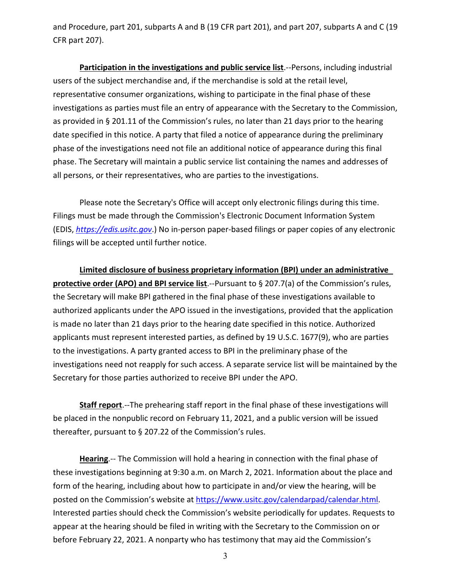and Procedure, part 201, subparts A and B (19 CFR part 201), and part 207, subparts A and C (19 CFR part 207).

**Participation in the investigations and public service list**.--Persons, including industrial users of the subject merchandise and, if the merchandise is sold at the retail level, representative consumer organizations, wishing to participate in the final phase of these investigations as parties must file an entry of appearance with the Secretary to the Commission, as provided in § 201.11 of the Commission's rules, no later than 21 days prior to the hearing date specified in this notice. A party that filed a notice of appearance during the preliminary phase of the investigations need not file an additional notice of appearance during this final phase. The Secretary will maintain a public service list containing the names and addresses of all persons, or their representatives, who are parties to the investigations.

Please note the Secretary's Office will accept only electronic filings during this time. Filings must be made through the Commission's Electronic Document Information System (EDIS, *[https://edis.usitc.gov](https://edis.usitc.gov/)*.) No in-person paper-based filings or paper copies of any electronic filings will be accepted until further notice.

**Limited disclosure of business proprietary information (BPI) under an administrative protective order (APO) and BPI service list**.--Pursuant to § 207.7(a) of the Commission's rules, the Secretary will make BPI gathered in the final phase of these investigations available to authorized applicants under the APO issued in the investigations, provided that the application is made no later than 21 days prior to the hearing date specified in this notice. Authorized applicants must represent interested parties, as defined by 19 U.S.C. 1677(9), who are parties to the investigations. A party granted access to BPI in the preliminary phase of the investigations need not reapply for such access. A separate service list will be maintained by the Secretary for those parties authorized to receive BPI under the APO.

**Staff report**.--The prehearing staff report in the final phase of these investigations will be placed in the nonpublic record on February 11, 2021, and a public version will be issued thereafter, pursuant to § 207.22 of the Commission's rules.

**Hearing**.-- The Commission will hold a hearing in connection with the final phase of these investigations beginning at 9:30 a.m. on March 2, 2021. Information about the place and form of the hearing, including about how to participate in and/or view the hearing, will be posted on the Commission's website at [https://www.usitc.gov/calendarpad/calendar.html.](https://www.usitc.gov/calendarpad/calendar.html) Interested parties should check the Commission's website periodically for updates. Requests to appear at the hearing should be filed in writing with the Secretary to the Commission on or before February 22, 2021. A nonparty who has testimony that may aid the Commission's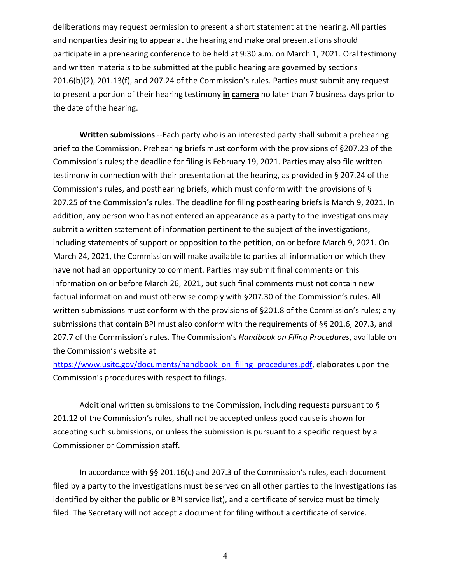deliberations may request permission to present a short statement at the hearing. All parties and nonparties desiring to appear at the hearing and make oral presentations should participate in a prehearing conference to be held at 9:30 a.m. on March 1, 2021. Oral testimony and written materials to be submitted at the public hearing are governed by sections 201.6(b)(2), 201.13(f), and 207.24 of the Commission's rules. Parties must submit any request to present a portion of their hearing testimony **in camera** no later than 7 business days prior to the date of the hearing.

**Written submissions**.--Each party who is an interested party shall submit a prehearing brief to the Commission. Prehearing briefs must conform with the provisions of §207.23 of the Commission's rules; the deadline for filing is February 19, 2021. Parties may also file written testimony in connection with their presentation at the hearing, as provided in § 207.24 of the Commission's rules, and posthearing briefs, which must conform with the provisions of § 207.25 of the Commission's rules. The deadline for filing posthearing briefs is March 9, 2021. In addition, any person who has not entered an appearance as a party to the investigations may submit a written statement of information pertinent to the subject of the investigations, including statements of support or opposition to the petition, on or before March 9, 2021. On March 24, 2021, the Commission will make available to parties all information on which they have not had an opportunity to comment. Parties may submit final comments on this information on or before March 26, 2021, but such final comments must not contain new factual information and must otherwise comply with §207.30 of the Commission's rules. All written submissions must conform with the provisions of §201.8 of the Commission's rules; any submissions that contain BPI must also conform with the requirements of §§ 201.6, 207.3, and 207.7 of the Commission's rules. The Commission's *Handbook on Filing Procedures*, available on the Commission's website at

[https://www.usitc.gov/documents/handbook\\_on\\_filing\\_procedures.pdf,](https://www.usitc.gov/documents/handbook_on_filing_procedures.pdf) elaborates upon the Commission's procedures with respect to filings.

Additional written submissions to the Commission, including requests pursuant to § 201.12 of the Commission's rules, shall not be accepted unless good cause is shown for accepting such submissions, or unless the submission is pursuant to a specific request by a Commissioner or Commission staff.

In accordance with §§ 201.16(c) and 207.3 of the Commission's rules, each document filed by a party to the investigations must be served on all other parties to the investigations (as identified by either the public or BPI service list), and a certificate of service must be timely filed. The Secretary will not accept a document for filing without a certificate of service.

4